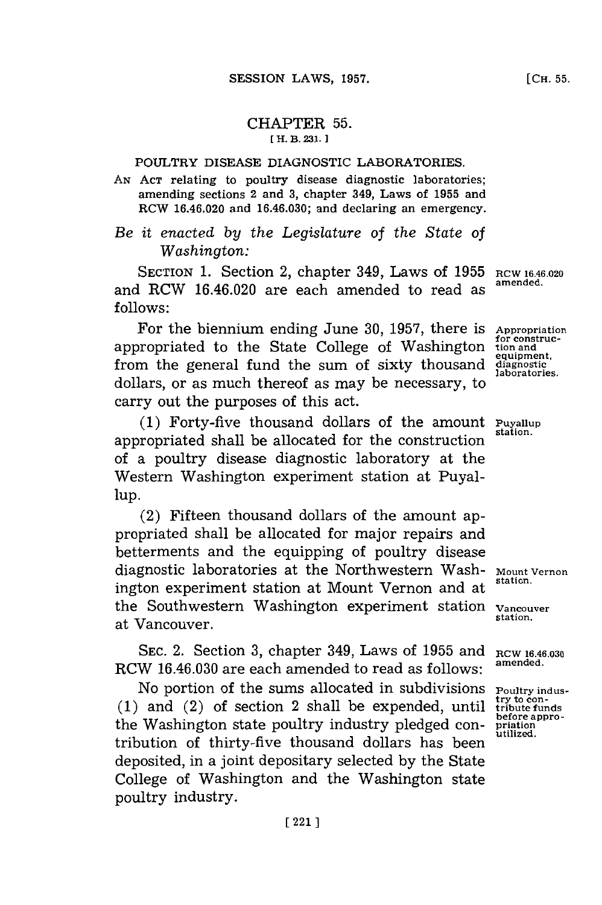## CHAPTER **55. [ H. B. 231.]1**

## POULTRY DISEASE DIAGNOSTIC LABORATORIES.

**AN ACT** relating to poultry disease diagnostic laboratories; amending sections 2 and **3,** chapter 349, Laws of **1955** and RCW 16.46.020 and **16.46.030;** and declaring an emergency.

## *Be it enacted by the Legislature of the State of Washington:*

SECTION 1. Section 2, chapter 349, Laws of 1955 RCW 16.46.020 and RCW 16.46.020 are each amended to read as **follows:**

For the biennium ending June **30, 1957,** there is **Appropriation** appropriated to the State College of Washington tion and from the general fund the sum of sixty thousand diagnostic laboratories. dollars, or as much thereof as may be necessary, to carry out the purposes of this act.

**(1)** Forty-five thousand dollars of the amount **Puyallup** appropriated shall be allocated for the construction **station.** of a poultry disease diagnostic laboratory at the Western Washington experiment station at Puyal**lup.**

(2) Fifteen thousand dollars of the amount appropriated shall be allocated for major repairs and betterments and the equipping of poultry disease diagnostic laboratories at the Northwestern Wash- Mount Vernon ington experiment station at Mount Vernon and at **station.** the Southwestern Washington experiment station **Vancouver** at Vancouver.

SEC. 2. Section 3, chapter 349, Laws of 1955 and RCW 16.46.030 RCW **16.46.030** are each amended to read as follows: **amended.**

No portion of the sums allocated in subdivisions **Poultry industry to con- (1)** and (2) of section 2 shall be expended, until **tribute funds before appro-** the Washington state poultry industry pledged con- **priation** tribution of thirty-five thousand dollars has been deposited, in a joint depositary selected **by** the State College of Washington and the Washington state poultry industry.